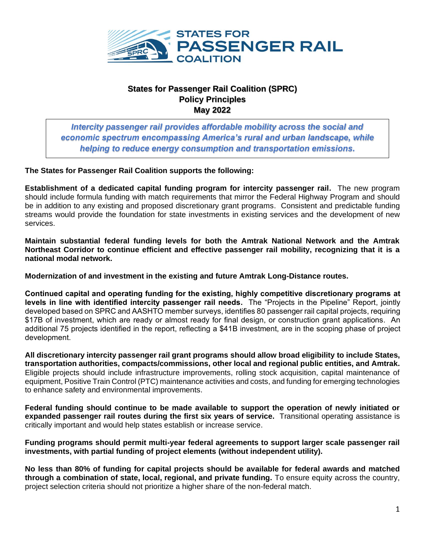

## **States for Passenger Rail Coalition (SPRC) Policy Principles May 2022**

*Intercity passenger rail provides affordable mobility across the social and economic spectrum encompassing America's rural and urban landscape, while helping to reduce energy consumption and transportation emissions***.**

## **The States for Passenger Rail Coalition supports the following:**

**Establishment of a dedicated capital funding program for intercity passenger rail.** The new program should include formula funding with match requirements that mirror the Federal Highway Program and should be in addition to any existing and proposed discretionary grant programs. Consistent and predictable funding streams would provide the foundation for state investments in existing services and the development of new services.

**Maintain substantial federal funding levels for both the Amtrak National Network and the Amtrak Northeast Corridor to continue efficient and effective passenger rail mobility, recognizing that it is a national modal network.** 

**Modernization of and investment in the existing and future Amtrak Long-Distance routes.** 

 **Continued capital and operating funding for the existing, highly competitive discretionary programs at levels in line with identified intercity passenger rail needs.** The "Projects in the Pipeline" Report, jointly developed based on SPRC and AASHTO member surveys, identifies 80 passenger rail capital projects, requiring \$17B of investment, which are ready or almost ready for final design, or construction grant applications. An additional 75 projects identified in the report, reflecting a \$41B investment, are in the scoping phase of project development.

**All discretionary intercity passenger rail grant programs should allow broad eligibility to include States, transportation authorities, compacts/commissions, other local and regional public entities, and Amtrak.**  Eligible projects should include infrastructure improvements, rolling stock acquisition, capital maintenance of equipment, Positive Train Control (PTC) maintenance activities and costs, and funding for emerging technologies to enhance safety and environmental improvements.

**Federal funding should continue to be made available to support the operation of newly initiated or expanded passenger rail routes during the first six years of service.** Transitional operating assistance is critically important and would help states establish or increase service.

**Funding programs should permit multi-year federal agreements to support larger scale passenger rail investments, with partial funding of project elements (without independent utility).**

**No less than 80% of funding for capital projects should be available for federal awards and matched through a combination of state, local, regional, and private funding.** To ensure equity across the country, project selection criteria should not prioritize a higher share of the non-federal match.